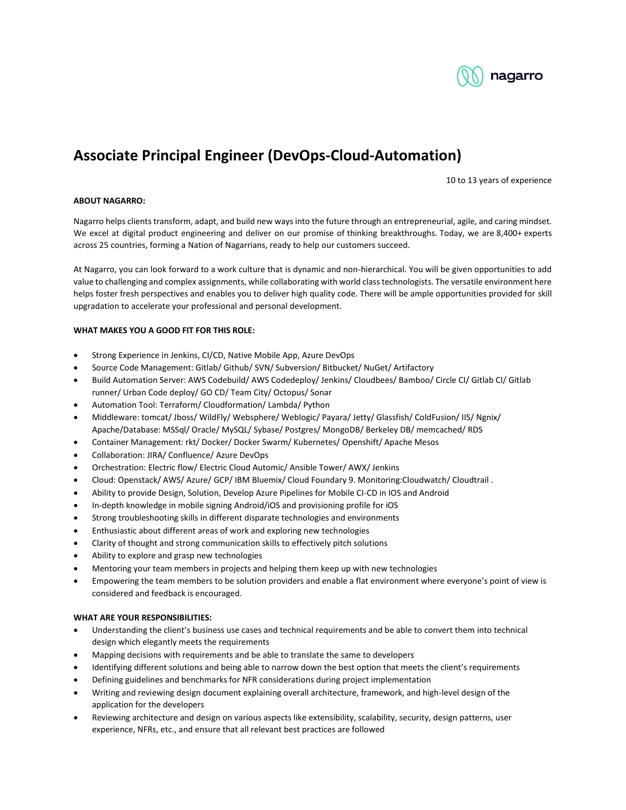

## **Associate Principal Engineer (DevOps-Cloud-Automation)**

10 to 13 years of experience

## **ABOUT NAGARRO:**

Nagarro helps clients transform, adapt, and build new ways into the future through an entrepreneurial, agile, and caring mindset. We excel at digital product engineering and deliver on our promise of thinking breakthroughs. Today, we are 8,400+ experts across 25 countries, forming a Nation of Nagarrians, ready to help our customers succeed.

At Nagarro, you can look forward to a work culture that is dynamic and non-hierarchical. You will be given opportunities to add value to challenging and complex assignments, while collaborating with world class technologists. The versatile environment here helps foster fresh perspectives and enables you to deliver high quality code. There will be ample opportunities provided for skill upgradation to accelerate your professional and personal development.

## **WHAT MAKES YOU A GOOD FIT FOR THIS ROLE:**

- Strong Experience in Jenkins, CI/CD, Native Mobile App, Azure DevOps
- Source Code Management: Gitlab/ Github/ SVN/ Subversion/ Bitbucket/ NuGet/ Artifactory
- Build Automation Server: AWS Codebuild/ AWS Codedeploy/ Jenkins/ Cloudbees/ Bamboo/ Circle CI/ Gitlab CI/ Gitlab runner/ Urban Code deploy/ GO CD/ Team City/ Octopus/ Sonar
- Automation Tool: Terraform/ Cloudformation/ Lambda/ Python
- Middleware: tomcat/ Jboss/ WildFly/ Websphere/ Weblogic/ Payara/ Jetty/ Glassfish/ ColdFusion/ IIS/ Ngnix/ Apache/Database: MSSql/ Oracle/ MySQL/ Sybase/ Postgres/ MongoDB/ Berkeley DB/ memcached/ RDS
- Container Management: rkt/ Docker/ Docker Swarm/ Kubernetes/ Openshift/ Apache Mesos
- Collaboration: JIRA/ Confluence/ Azure DevOps
- Orchestration: Electric flow/ Electric Cloud Automic/ Ansible Tower/ AWX/ Jenkins
- Cloud: Openstack/ AWS/ Azure/ GCP/ IBM Bluemix/ Cloud Foundary 9. Monitoring:Cloudwatch/ Cloudtrail .
- Ability to provide Design, Solution, Develop Azure Pipelines for Mobile CI-CD in IOS and Android
- In-depth knowledge in mobile signing Android/iOS and provisioning profile for iOS
- Strong troubleshooting skills in different disparate technologies and environments
- Enthusiastic about different areas of work and exploring new technologies
- Clarity of thought and strong communication skills to effectively pitch solutions
- Ability to explore and grasp new technologies
- Mentoring your team members in projects and helping them keep up with new technologies
- Empowering the team members to be solution providers and enable a flat environment where everyone's point of view is considered and feedback is encouraged.

## **WHAT ARE YOUR RESPONSIBILITIES:**

- Understanding the client's business use cases and technical requirements and be able to convert them into technical design which elegantly meets the requirements
- Mapping decisions with requirements and be able to translate the same to developers
- Identifying different solutions and being able to narrow down the best option that meets the client's requirements
- Defining guidelines and benchmarks for NFR considerations during project implementation
- Writing and reviewing design document explaining overall architecture, framework, and high-level design of the application for the developers
- Reviewing architecture and design on various aspects like extensibility, scalability, security, design patterns, user experience, NFRs, etc., and ensure that all relevant best practices are followed